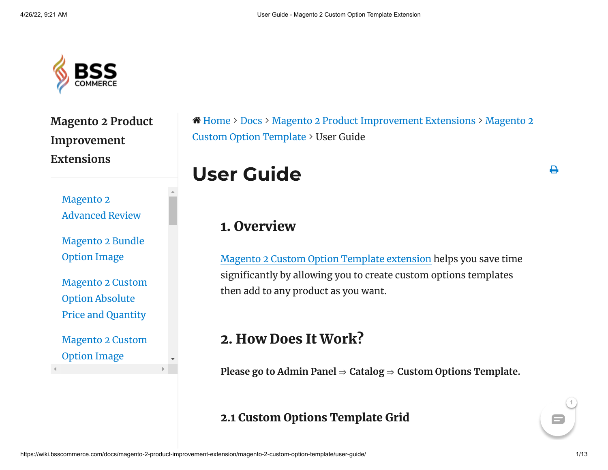

**Magento 2 Product Improvement Extensions**

> Magento 2 [Advanced](https://wiki.bsscommerce.com/docs/magento-2-product-improvement-extension/magento-2-advanced-review/) Review

[Magento](https://wiki.bsscommerce.com/docs/magento-2-product-improvement-extension/magento-2-bundle-option-image/) 2 Bundle Option Image

[Magento](https://wiki.bsscommerce.com/docs/magento-2-product-improvement-extension/magento-2-custom-option-absolute-price-and-quantity/) 2 Custom Option Absolute Price and Quantity

[Magento](https://wiki.bsscommerce.com/docs/magento-2-product-improvement-extension/magento-2-custom-option-image/) 2 Custom Option Image

 [Home](https://wiki.bsscommerce.com/) [Docs](https://wiki.bsscommerce.com/) Magento 2 Product [Improvement](https://wiki.bsscommerce.com/docs/magento-2-product-improvement-extension/) Extensions Magento 2 Custom Option Template > User Guide

User Guide

## 1. Overview

Magento 2 Custom Option Template [extension](https://bsscommerce.com/magento-2-custom-option-template-extension.html) helps you save time significantly by allowing you to create custom options templates then add to any product as you want.

# 2. How Does It Work?

**Please go to Admin Panel** ⇒ **Catalog** ⇒ **Custom Options Template.**

## 2.1 Custom Options Template Grid

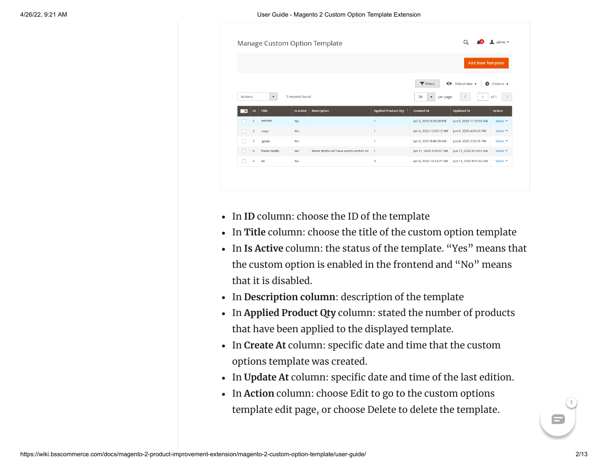

- In **ID** column: choose the ID of the template
- In **Title** column: choose the title of the custom option template
- In **Is Active** column: the status of the template. "Yes" means that the custom option is enabled in the frontend and "No" means that it is disabled.
- In **Description column**: description of the template
- In **Applied Product Qty** column: stated the number of products that have been applied to the displayed template.
- In **Create At** column: specific date and time that the custom options template was created.
- In **Update At** column: specific date and time of the last edition.
- In **Action** column: choose Edit to go to the custom options template edit page, or choose Delete to delete the template.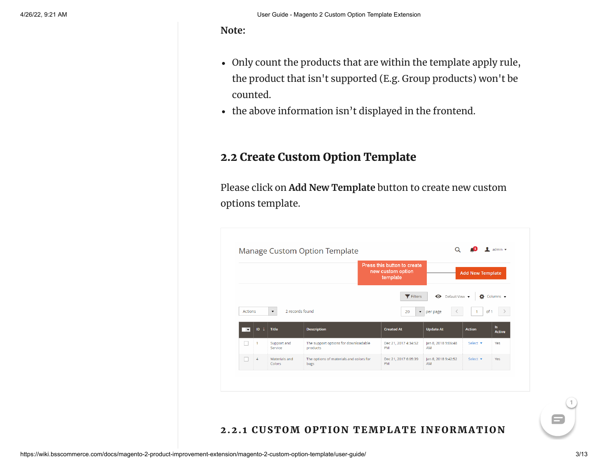**Note:**

- Only count the products that are within the template apply rule, the product that isn't supported (E.g. Group products) won't be counted.
- the above information isn't displayed in the frontend.

### 2.2 Create Custom Option Template

Please click on **Add New Template** button to create new custom options template.



#### 2.2.1 CUSTOM OPTION TEMPLATE INFORMATION

8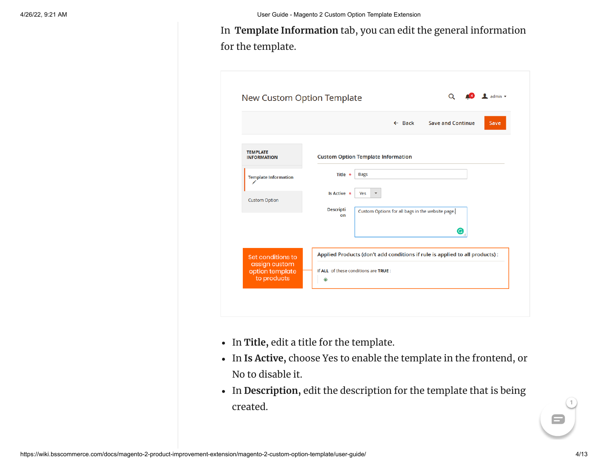In **Template Information** tab, you can edit the general information for the template.

|                                                 | $\leftarrow$ Back<br><b>Save and Continue</b><br>Save                                      |
|-------------------------------------------------|--------------------------------------------------------------------------------------------|
| <b>TEMPLATE</b><br><b>INFORMATION</b>           | <b>Custom Option Template Information</b>                                                  |
| <b>Template Information</b><br>∕                | Title $\star$<br><b>Bags</b>                                                               |
| <b>Custom Option</b>                            | Is Active *<br>Yes<br><b>Descripti</b><br>Custom Options for all bags in the website page. |
|                                                 | on<br>G                                                                                    |
| Set conditions to                               | Applied Products (don't add conditions if rule is applied to all products) :               |
| assign custom<br>option template<br>to products | If ALL of these conditions are TRUE :<br>◉                                                 |

- In **Title,** edit a title for the template.
- In **Is Active,** choose Yes to enable the template in the frontend, or No to disable it.
- In **Description,** edit the description for the template that is being created.

 $\blacksquare$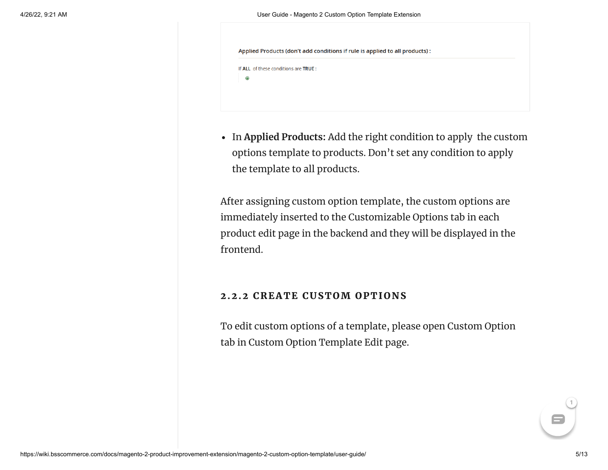Applied Products (don't add conditions if rule is applied to all products) :

```
If ALL of these conditions are TRUE:
```

| × |  |
|---|--|
|   |  |

In **Applied Products:** Add the right condition to apply the custom options template to products. Don't set any condition to apply the template to all products.

After assigning custom option template, the custom options are immediately inserted to the Customizable Options tab in each product edit page in the backend and they will be displayed in the frontend.

#### 2.2.2 CREATE CUSTOM OPTIONS

To edit custom options of a template, please open Custom Option tab in Custom Option Template Edit page.

8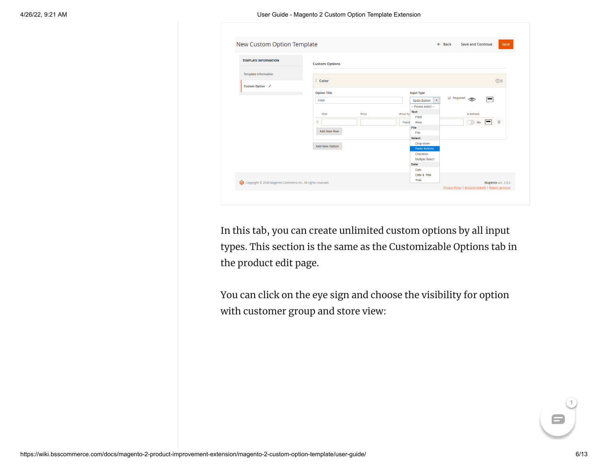| <b>TEMPLATE INFORMATION</b>                    | <b>Custom Options</b>                                                                                                           |                                                                                                                                                                                                                                                                                                                                                                                                    |   |
|------------------------------------------------|---------------------------------------------------------------------------------------------------------------------------------|----------------------------------------------------------------------------------------------------------------------------------------------------------------------------------------------------------------------------------------------------------------------------------------------------------------------------------------------------------------------------------------------------|---|
| <b>Template Information</b><br>Custom Option / | Color                                                                                                                           |                                                                                                                                                                                                                                                                                                                                                                                                    | ⊙ |
|                                                | <b>Option Title</b><br>Color<br>Title<br>Price<br>$\begin{array}{c} \end{array}$<br><b>Add New Row</b><br><b>Add New Option</b> | <b>Input Type</b><br>$\triangledown$ Required<br>$\circledcirc$<br>冃<br><b>Radio Button</b><br>$\boldsymbol{\mathrm{v}}$<br>-- Please select --<br>Text<br><b>Is Default</b><br><b>Price Ty</b><br>Field<br>$\sum$<br>$-1$<br>Fixed<br><b>No</b><br>Area<br><b>File</b><br>File<br><b>Select</b><br>Drop-down<br><b>Radio Buttons</b><br>Checkbox<br>Multiple Select<br><b>Date</b><br><b>Date</b> | Ŵ |

In this tab, you can create unlimited custom options by all input types. This section is the same as the Customizable Options tab in the product edit page.

You can click on the eye sign and choose the visibility for option with customer group and store view:

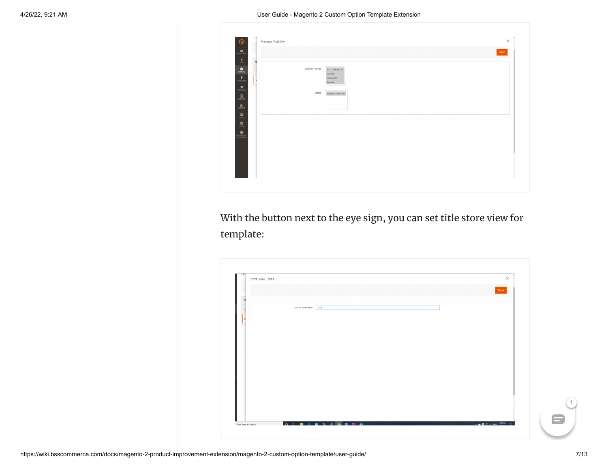| $\sum_{\text{DUSHEOAB}}$                                                                                                                                                                                                                                                                                                                                                                                                                                                                    |                |                                                   | Done |
|---------------------------------------------------------------------------------------------------------------------------------------------------------------------------------------------------------------------------------------------------------------------------------------------------------------------------------------------------------------------------------------------------------------------------------------------------------------------------------------------|----------------|---------------------------------------------------|------|
| п<br>$\frac{\mathsf{S}}{\mathsf{SALIS}}$<br>T<br>$\bigcirc$<br>$\frac{1}{\sqrt{2}}$<br>C                                                                                                                                                                                                                                                                                                                                                                                                    | Customer Group | NOT LOGGED IN<br>General<br>Wholesale<br>Retailer |      |
| $\begin{array}{c} \hline \textbf{1} & \textbf{1} & \textbf{1} \\ \textbf{1} & \textbf{1} & \textbf{1} & \textbf{1} \\ \textbf{1} & \textbf{1} & \textbf{1} & \textbf{1} \\ \textbf{1} & \textbf{1} & \textbf{1} & \textbf{1} \\ \textbf{1} & \textbf{1} & \textbf{1} & \textbf{1} \\ \textbf{1} & \textbf{1} & \textbf{1} & \textbf{1} \\ \textbf{1} & \textbf{1} & \textbf{1} & \textbf{1} \\ \textbf{1} & \textbf{1} & \textbf{1} &$<br>$\overline{\mathbf{u}}$<br>$\lim_{\text{arrows}}$ | Stores         | Default Store View                                |      |
| $\frac{d\mathbf{m}}{s\tau\cos\theta}$<br>$\mathbf{\mathring{R}}_{\text{NTEM}}$<br><b>THE MITHERS</b>                                                                                                                                                                                                                                                                                                                                                                                        |                |                                                   |      |
|                                                                                                                                                                                                                                                                                                                                                                                                                                                                                             |                |                                                   |      |
|                                                                                                                                                                                                                                                                                                                                                                                                                                                                                             |                |                                                   |      |

With the button next to the eye sign, you can set title store view for template:

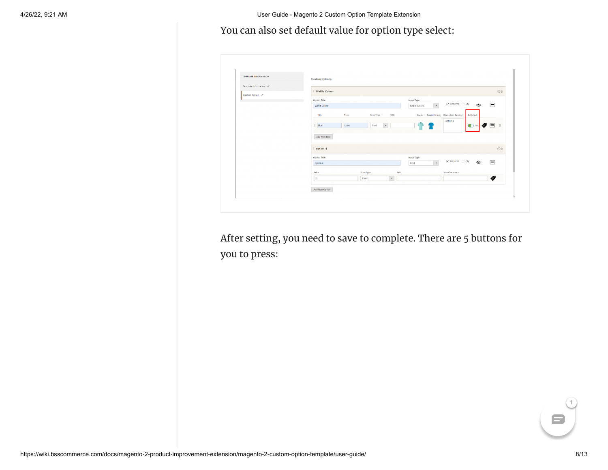#### You can also set default value for option type select:



After setting, you need to save to complete. There are 5 buttons for you to press:



 $\blacksquare$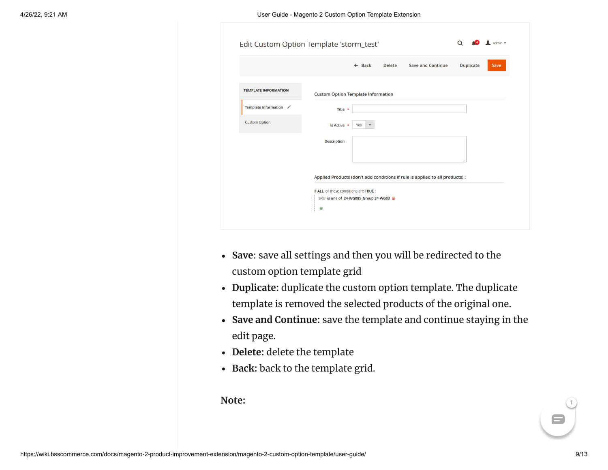|                             | <b>Duplicate</b><br><b>Delete</b><br><b>Save and Continue</b><br>$\leftarrow$ Back<br>Save |
|-----------------------------|--------------------------------------------------------------------------------------------|
|                             |                                                                                            |
| <b>TEMPLATE INFORMATION</b> | <b>Custom Option Template Information</b>                                                  |
| Template Information /      | Title *                                                                                    |
| <b>Custom Option</b>        | Is Active *<br>$\boldsymbol{\mathrm{v}}$<br>Yes                                            |
|                             | <b>Description</b>                                                                         |
|                             |                                                                                            |
|                             | Applied Products (don't add conditions if rule is applied to all products) :               |
|                             | If ALL of these conditions are TRUE :                                                      |
|                             | SKU is one of 24-WG085_Group,24-WG03 @                                                     |

- **Save**: save all settings and then you will be redirected to the custom option template grid
- **Duplicate:** duplicate the custom option template. The duplicate template is removed the selected products of the original one.
- **Save and Continue:** save the template and continue staying in the edit page.
- **Delete:** delete the template
- **Back:** back to the template grid.

**Note:**

 $\blacksquare$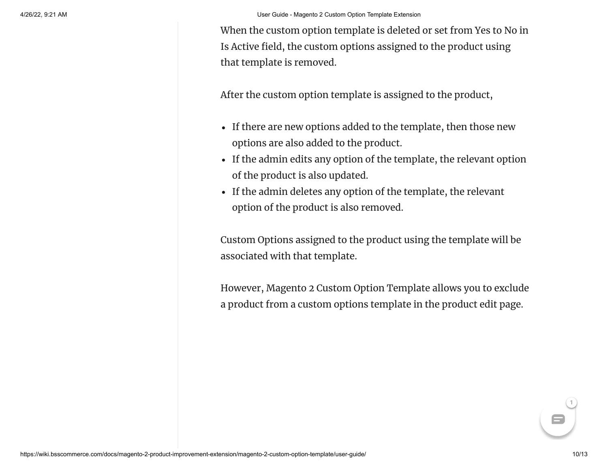When the custom option template is deleted or set from Yes to No in Is Active field, the custom options assigned to the product using that template is removed.

After the custom option template is assigned to the product,

- If there are new options added to the template, then those new options are also added to the product.
- If the admin edits any option of the template, the relevant option of the product is also updated.
- If the admin deletes any option of the template, the relevant option of the product is also removed.

Custom Options assigned to the product using the template will be associated with that template.

However, Magento 2 Custom Option Template allows you to exclude a product from a custom options template in the product edit page.

8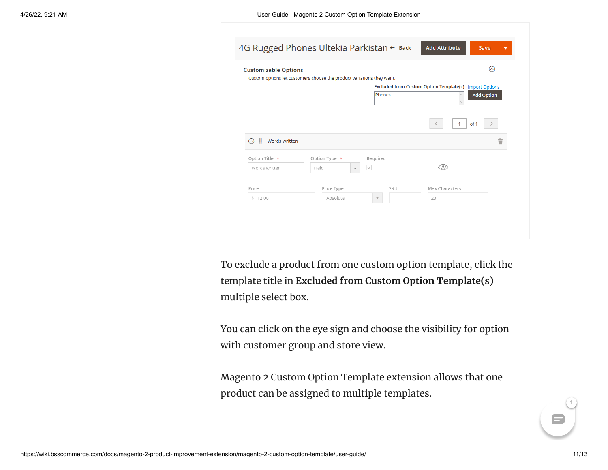| <b>Customizable Options</b>               |                                                                       |                |                                                               | ଚ |
|-------------------------------------------|-----------------------------------------------------------------------|----------------|---------------------------------------------------------------|---|
|                                           | Custom options let customers choose the product variations they want. |                | <b>Excluded from Custom Option Template(s)</b> Import Options |   |
|                                           |                                                                       | Phones         | <b>Add Option</b>                                             |   |
|                                           |                                                                       |                | of 1<br>$\mathbf{1}$<br>₹                                     |   |
| ÷<br>⊙<br>Words written<br>Option Title * | Option Type $*$                                                       | Required       |                                                               | û |
| Words written                             | Field<br>$\overline{\mathbf{v}}$                                      | $\checkmark$   |                                                               |   |
| Price                                     | Price Type                                                            | SKU            | Max Characters                                                |   |
|                                           | Absolute                                                              | $\overline{1}$ | 23                                                            |   |

To exclude a product from one custom option template, click the template title in **Excluded from Custom Option Template(s)** multiple select box.

You can click on the eye sign and choose the visibility for option with customer group and store view.

Magento 2 Custom Option Template extension allows that one product can be assigned to multiple templates.

8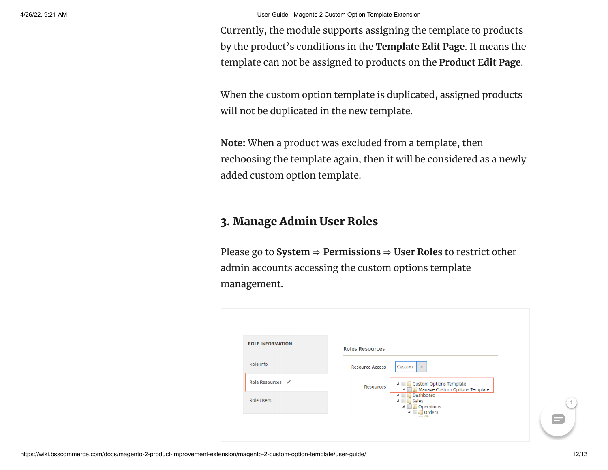Currently, the module supports assigning the template to products by the product's conditions in the **Template Edit Page**. It means the template can not be assigned to products on the **Product Edit Page**.

When the custom option template is duplicated, assigned products will not be duplicated in the new template.

**Note:** When a product was excluded from a template, then rechoosing the template again, then it will be considered as a newly added custom option template.

## 3. Manage Admin User Roles

Please go to **System** ⇒ **Permissions** ⇒ **User Roles** to restrict other admin accounts accessing the custom options template management.

| <b>ROLE INFORMATION</b> | <b>Roles Resources</b> |                                                                       |
|-------------------------|------------------------|-----------------------------------------------------------------------|
| Role Info               | <b>Resource Access</b> | Custom<br>$\blacktriangle$                                            |
| Role Resources          | <b>Resources</b>       | ▲ ■ Custom Options Template<br>4 Manage Custom Options Template       |
| <b>Role Users</b>       |                        | 4 <b>Dashboard</b><br>4 <b>Bull</b> Sales<br>4 Operations<br>4 Orders |

8